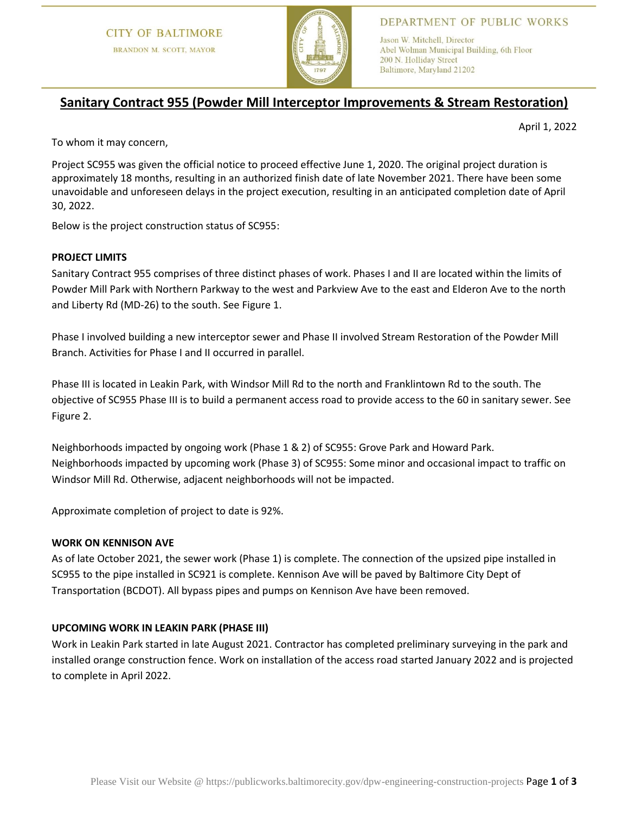

## DEPARTMENT OF PUBLIC WORKS

Jason W. Mitchell, Director Abel Wolman Municipal Building, 6th Floor 200 N. Holliday Street Baltimore, Maryland 21202

# **Sanitary Contract 955 (Powder Mill Interceptor Improvements & Stream Restoration)**

April 1, 2022

To whom it may concern,

Project SC955 was given the official notice to proceed effective June 1, 2020. The original project duration is approximately 18 months, resulting in an authorized finish date of late November 2021. There have been some unavoidable and unforeseen delays in the project execution, resulting in an anticipated completion date of April 30, 2022.

Below is the project construction status of SC955:

### **PROJECT LIMITS**

Sanitary Contract 955 comprises of three distinct phases of work. Phases I and II are located within the limits of Powder Mill Park with Northern Parkway to the west and Parkview Ave to the east and Elderon Ave to the north and Liberty Rd (MD-26) to the south. See Figure 1.

Phase I involved building a new interceptor sewer and Phase II involved Stream Restoration of the Powder Mill Branch. Activities for Phase I and II occurred in parallel.

Phase III is located in Leakin Park, with Windsor Mill Rd to the north and Franklintown Rd to the south. The objective of SC955 Phase III is to build a permanent access road to provide access to the 60 in sanitary sewer. See Figure 2.

Neighborhoods impacted by ongoing work (Phase 1 & 2) of SC955: Grove Park and Howard Park. Neighborhoods impacted by upcoming work (Phase 3) of SC955: Some minor and occasional impact to traffic on Windsor Mill Rd. Otherwise, adjacent neighborhoods will not be impacted.

Approximate completion of project to date is 92%.

#### **WORK ON KENNISON AVE**

As of late October 2021, the sewer work (Phase 1) is complete. The connection of the upsized pipe installed in SC955 to the pipe installed in SC921 is complete. Kennison Ave will be paved by Baltimore City Dept of Transportation (BCDOT). All bypass pipes and pumps on Kennison Ave have been removed.

## **UPCOMING WORK IN LEAKIN PARK (PHASE III)**

Work in Leakin Park started in late August 2021. Contractor has completed preliminary surveying in the park and installed orange construction fence. Work on installation of the access road started January 2022 and is projected to complete in April 2022.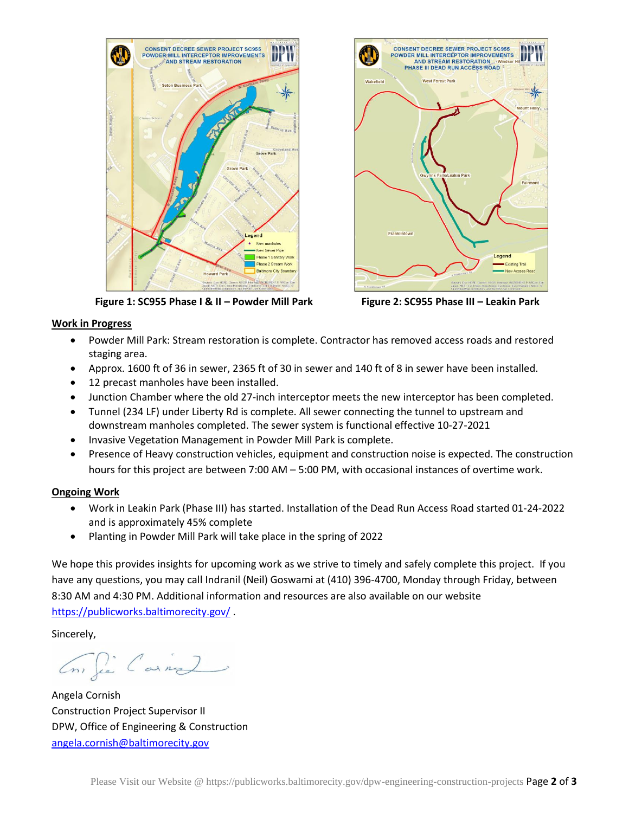

 **Figure 1: SC955 Phase I & II – Powder Mill Park Figure 2: SC955 Phase III – Leakin Park**



#### **Work in Progress**

- Powder Mill Park: Stream restoration is complete. Contractor has removed access roads and restored staging area.
- Approx. 1600 ft of 36 in sewer, 2365 ft of 30 in sewer and 140 ft of 8 in sewer have been installed.
- 12 precast manholes have been installed.
- Junction Chamber where the old 27-inch interceptor meets the new interceptor has been completed.
- Tunnel (234 LF) under Liberty Rd is complete. All sewer connecting the tunnel to upstream and downstream manholes completed. The sewer system is functional effective 10-27-2021
- Invasive Vegetation Management in Powder Mill Park is complete.
- Presence of Heavy construction vehicles, equipment and construction noise is expected. The construction hours for this project are between 7:00 AM – 5:00 PM, with occasional instances of overtime work.

#### **Ongoing Work**

- Work in Leakin Park (Phase III) has started. Installation of the Dead Run Access Road started 01-24-2022 and is approximately 45% complete
- Planting in Powder Mill Park will take place in the spring of 2022

We hope this provides insights for upcoming work as we strive to timely and safely complete this project. If you have any questions, you may call Indranil (Neil) Goswami at (410) 396-4700, Monday through Friday, between 8:30 AM and 4:30 PM. Additional information and resources are also available on our website <https://publicworks.baltimorecity.gov/> .

Sincerely,

Consta Casina

Angela Cornish Construction Project Supervisor II DPW, Office of Engineering & Construction [angela.cornish@baltimorecity.gov](mailto:angela.cornish@baltimorecity.gov)